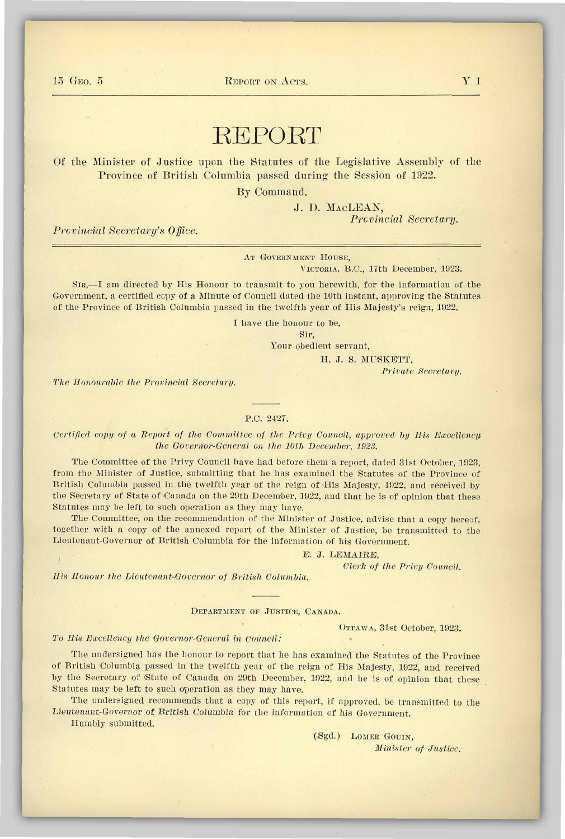15 GEO. 5 REPORT ON ACTS. THE V 1

# REPORT

Of the Minister of Justice upon the Statutes of the Legislative Assembly of the Province of British Columbia passed during the Session of 1922.

By Command.

J. D. MACLEAN, *Provincial Secretary.* 

*Provincial Secretary's Office.* 

AT GOVERNMENT HOUSE,

VICTORIA, B.C., 17th December, 1023.

SIR,—I am directed by His Honour to transmit to you herewith, for the information of the Government, a certified ccpy of a Minute of Council dated the 10th instant, approving the Statutes of the Province of British Columbia passed in the twelfth year of His Majesty's reign, 1922.

I have the honour to be,

Sir,

Your obedient servant,

H. J. S. MUSKETT,

*Private Secretary.* 

*The Honourable the Provincial Secretary.* 

#### P.C. 2427.

*Certified copy of a Report of the Committee of the Privy Council, approved by His Excellency the Governor-General on the 10th December, 1923.* 

The Committee of the Privy Council have had before them a report, dated 31st October, 1923, from the Minister of Justice, submitting that he has examined the Statutes of the Province of British Columbia passed in the twelfth year of the reign of His Majesty, 1922, and received by the Secretary of State of Canada on the 29th December, 1922, and that he is of opinion that these Statutes may be left to such operation as they may have.

The Committee, on the recommendation of the Minister of Justice, advise that a copy hereof, together with a copy of the annexed report of the Minister of Justice, be transmitted to the Lieutenant-Governor of British Columbia for the information of his Government.

#### E. J. LEMAIRE,

*Clerk of the Privy Council.* 

*His Honour the Lieutenant-Governor of British Columbia.* 

DEPARTMENT OF JUSTICE, CANADA.

OTTAWA, 31st October, 1923.

### *To His Excellency the Governor-General in Council:*

The undersigned has the honour to report that he has examined the Statutes of the Province of British Columbia passed in the twelfth year of the reign of His Majesty, 1922, and received by the Secretary of State of Canada on 29th December, 1922, and he is of opinion that these Statutes may be left to such operation as they may have.

The undersigned recommends that a copy of this report, if approved, be transmitted to the Lieutenant-Governor of British Columbia for the information of his Government.

Humbly submitted.

(.Sgd.) LOMEK GOUIN, *Minister of Justice,*